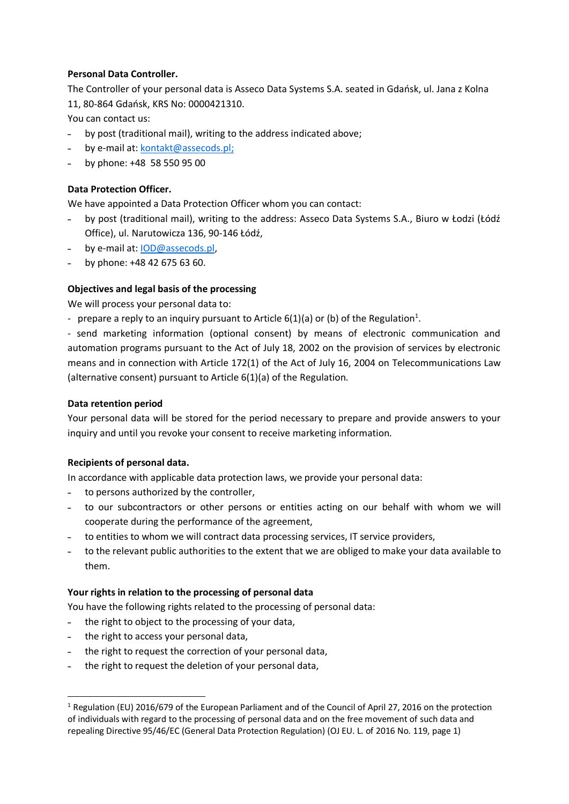# **Personal Data Controller.**

The Controller of your personal data is Asseco Data Systems S.A. seated in Gdańsk, ul. Jana z Kolna 11, 80-864 Gdańsk, KRS No: 0000421310.

You can contact us:

- ˗ by post (traditional mail), writing to the address indicated above;
- ˗ by e-mail at: [kontakt@assecods.pl;](mailto:kontakt@assecods.pl)
- ˗ by phone: +48 58 550 95 00

# **Data Protection Officer.**

We have appointed a Data Protection Officer whom you can contact:

- by post (traditional mail), writing to the address: Asseco Data Systems S.A., Biuro w Łodzi (Łódź Office), ul. Narutowicza 136, 90-146 Łódź,
- ˗ by e-mail at: [IOD@assecods.pl,](mailto:IOD@assecods.pl)
- ˗ by phone: +48 42 675 63 60.

## **Objectives and legal basis of the processing**

We will process your personal data to:

- prepare a reply to an inquiry pursuant to Article 6(1)(a) or (b) of the Regulation<sup>1</sup>.

- send marketing information (optional consent) by means of electronic communication and automation programs pursuant to the Act of July 18, 2002 on the provision of services by electronic means and in connection with Article 172(1) of the Act of July 16, 2004 on Telecommunications Law (alternative consent) pursuant to Article 6(1)(a) of the Regulation.

#### **Data retention period**

Your personal data will be stored for the period necessary to prepare and provide answers to your inquiry and until you revoke your consent to receive marketing information.

#### **Recipients of personal data.**

In accordance with applicable data protection laws, we provide your personal data:

- to persons authorized by the controller,
- ˗ to our subcontractors or other persons or entities acting on our behalf with whom we will cooperate during the performance of the agreement,
- to entities to whom we will contract data processing services, IT service providers,
- to the relevant public authorities to the extent that we are obliged to make your data available to them.

#### **Your rights in relation to the processing of personal data**

You have the following rights related to the processing of personal data:

- the right to object to the processing of your data,
- ˗ the right to access your personal data,
- ˗ the right to request the correction of your personal data,
- ˗ the right to request the deletion of your personal data,

<sup>&</sup>lt;sup>1</sup> Regulation (EU) 2016/679 of the European Parliament and of the Council of April 27, 2016 on the protection of individuals with regard to the processing of personal data and on the free movement of such data and repealing Directive 95/46/EC (General Data Protection Regulation) (OJ EU. L. of 2016 No. 119, page 1)